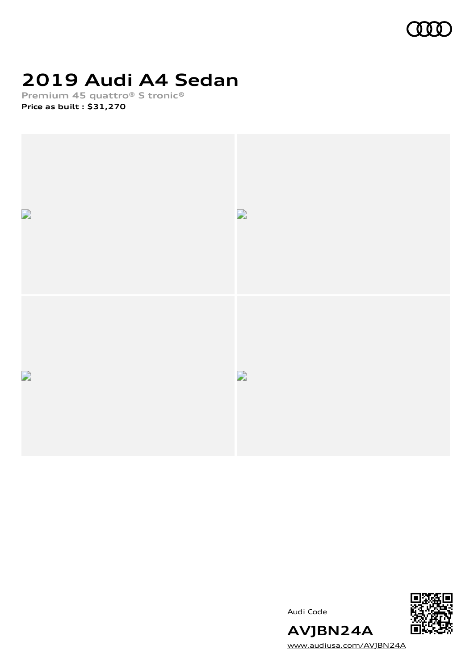

# **2019 Audi A4 Sedan**

**Premium 45 quattro® S tronic® Price as built [:](#page-10-0) \$31,270**



Audi Code



**AVJBN24A** [www.audiusa.com/AVJBN24A](https://www.audiusa.com/AVJBN24A)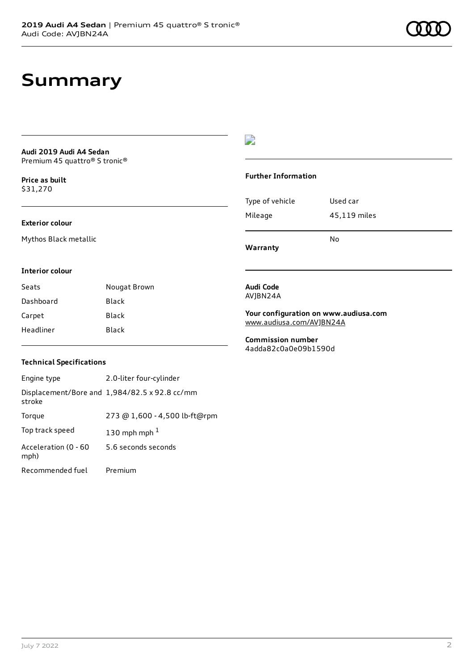# **Summary**

### **Audi 2019 Audi A4 Sedan** Premium 45 quattro® S tronic®

**Price as buil[t](#page-10-0)** \$31,270

### **Exterior colour**

Mythos Black metallic

### $\overline{\phantom{a}}$

#### **Further Information**

|                 | N٥           |
|-----------------|--------------|
| Mileage         | 45,119 miles |
| Type of vehicle | Used car     |

**Warranty**

#### **Interior colour**

Seats **Nougat Brown** Dashboard Black Carpet Black Headliner Black

### **Audi Code** AVJBN24A

**Your configuration on www.audiusa.com** [www.audiusa.com/AVJBN24A](https://www.audiusa.com/AVJBN24A)

**Commission number** 4adda82c0a0e09b1590d

### **Technical Specifications**

| Engine type                  | 2.0-liter four-cylinder                       |
|------------------------------|-----------------------------------------------|
| stroke                       | Displacement/Bore and 1,984/82.5 x 92.8 cc/mm |
| Torque                       | 273 @ 1,600 - 4,500 lb-ft@rpm                 |
| Top track speed              | 130 mph mph $1$                               |
| Acceleration (0 - 60<br>mph) | 5.6 seconds seconds                           |
| Recommended fuel             | Premium                                       |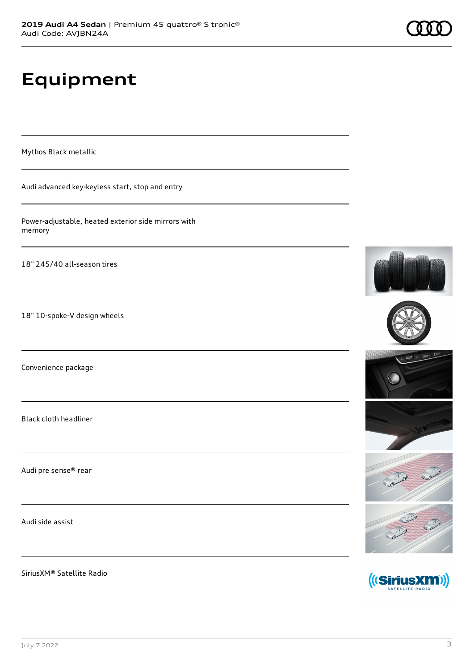# **Equipment**

Mythos Black metallic

Audi advanced key-keyless start, stop and entry

Power-adjustable, heated exterior side mirrors with memory

18" 245/40 all-season tires

18" 10-spoke-V design wheels

Convenience package

Black cloth headliner

Audi pre sense® rear

Audi side assist

SiriusXM® Satellite Radio











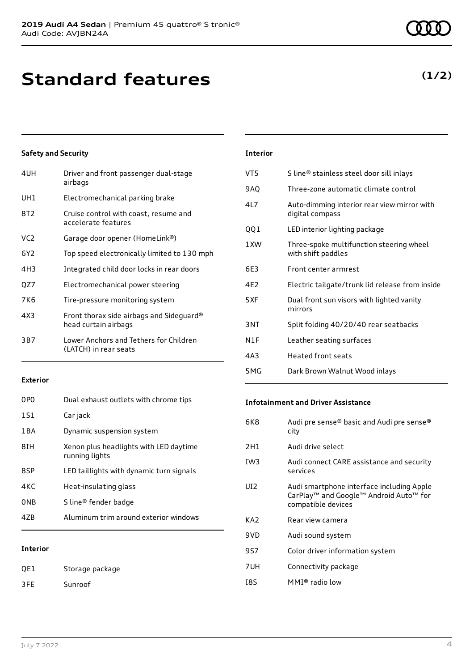# **Standard features**

### **Safety and Security**

| 4UH             | Driver and front passenger dual-stage<br>airbags                 |
|-----------------|------------------------------------------------------------------|
| UH1             | Electromechanical parking brake                                  |
| 8T2             | Cruise control with coast, resume and<br>accelerate features     |
| VC <sub>2</sub> | Garage door opener (HomeLink®)                                   |
| 6Y2             | Top speed electronically limited to 130 mph                      |
| 4H3             | Integrated child door locks in rear doors                        |
| QZ7             | Electromechanical power steering                                 |
| 7K6             | Tire-pressure monitoring system                                  |
| 4X3             | Front thorax side airbags and Sideguard®<br>head curtain airbags |
| 3B7             | Lower Anchors and Tethers for Children<br>(LATCH) in rear seats  |
|                 |                                                                  |

### **Exterior**

| 47B             | Aluminum trim around exterior windows                    |
|-----------------|----------------------------------------------------------|
| 0NB             | S line® fender badge                                     |
| 4KC             | Heat-insulating glass                                    |
| 8SP             | LED taillights with dynamic turn signals                 |
| 8TH             | Xenon plus headlights with LED daytime<br>running lights |
| 1 B A           | Dynamic suspension system                                |
| 1S1             | Car jack                                                 |
| 0P <sub>0</sub> | Dual exhaust outlets with chrome tips                    |

### **Interior**

QE1 Storage package 3FE Sunroof

| <b>Interior</b>  |                                                                |
|------------------|----------------------------------------------------------------|
| VT <sub>5</sub>  | S line® stainless steel door sill inlays                       |
| 9AO              | Three-zone automatic climate control                           |
| 41 7             | Auto-dimming interior rear view mirror with<br>digital compass |
| QQ1              | LED interior lighting package                                  |
| 1 XW             | Three-spoke multifunction steering wheel<br>with shift paddles |
| 6F3              | Front center armrest                                           |
| 4F <sub>2</sub>  | Electric tailgate/trunk lid release from inside                |
| 5XF              | Dual front sun visors with lighted vanity<br>mirrors           |
| 3 <sub>NT</sub>  | Split folding 40/20/40 rear seatbacks                          |
| N <sub>1</sub> F | Leather seating surfaces                                       |
| 4A3              | <b>Heated front seats</b>                                      |
|                  |                                                                |

### **Infotainment and Driver Assistance**

5MG Dark Brown Walnut Wood inlays

| Audi pre sense® basic and Audi pre sense®<br>city                                                                     |
|-----------------------------------------------------------------------------------------------------------------------|
| Audi drive select                                                                                                     |
| Audi connect CARE assistance and security<br>services                                                                 |
| Audi smartphone interface including Apple<br>CarPlay <sup>™</sup> and Google™ Android Auto™ for<br>compatible devices |
| Rear view camera                                                                                                      |
| Audi sound system                                                                                                     |
| Color driver information system                                                                                       |
| Connectivity package                                                                                                  |
| $MMI®$ radio low                                                                                                      |
|                                                                                                                       |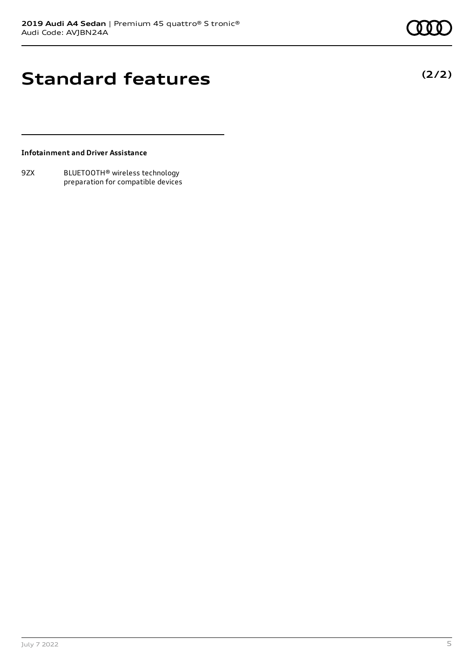## **Standard features**

**(2/2)**

### **Infotainment and Driver Assistance**

9ZX BLUETOOTH® wireless technology preparation for compatible devices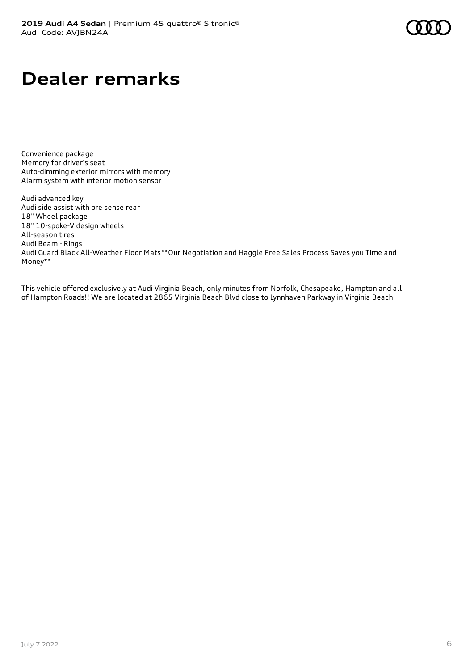# **Dealer remarks**

Convenience package Memory for driver's seat Auto-dimming exterior mirrors with memory Alarm system with interior motion sensor

Audi advanced key Audi side assist with pre sense rear 18" Wheel package 18" 10-spoke-V design wheels All-season tires Audi Beam - Rings Audi Guard Black All-Weather Floor Mats\*\*Our Negotiation and Haggle Free Sales Process Saves you Time and Money\*\*

This vehicle offered exclusively at Audi Virginia Beach, only minutes from Norfolk, Chesapeake, Hampton and all of Hampton Roads!! We are located at 2865 Virginia Beach Blvd close to Lynnhaven Parkway in Virginia Beach.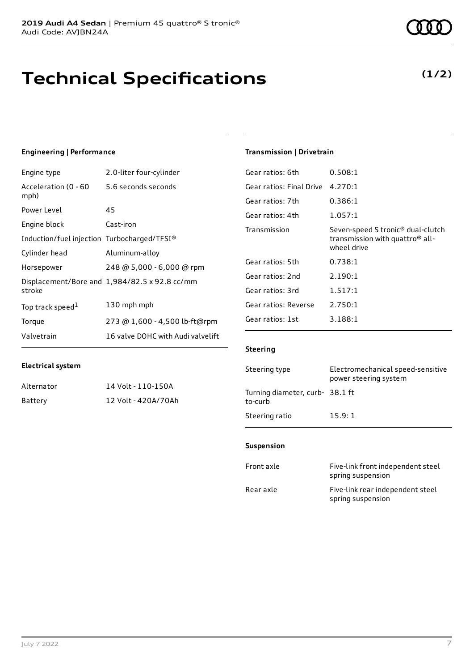# **Technical Specifications**

### **Engineering | Performance**

| Engine type                                 | 2.0-liter four-cylinder                       |
|---------------------------------------------|-----------------------------------------------|
| Acceleration (0 - 60<br>mph)                | 5.6 seconds seconds                           |
| Power Level                                 | 45                                            |
| Engine block                                | Cast-iron                                     |
| Induction/fuel injection Turbocharged/TFSI® |                                               |
| Cylinder head                               | Aluminum-alloy                                |
| Horsepower                                  | 248 @ 5,000 - 6,000 @ rpm                     |
| stroke                                      | Displacement/Bore and 1,984/82.5 x 92.8 cc/mm |
| Top track speed <sup>1</sup>                | 130 mph mph                                   |
| Torque                                      | 273 @ 1,600 - 4,500 lb-ft@rpm                 |
| Valvetrain                                  | 16 valve DOHC with Audi valvelift             |

## **Transmission | Drivetrain**

| Gear ratios: 6th         | 0.508:1                                                                                                     |
|--------------------------|-------------------------------------------------------------------------------------------------------------|
| Gear ratios: Final Drive | 4.270:1                                                                                                     |
| Gear ratios: 7th         | 0.386:1                                                                                                     |
| Gear ratios: 4th         | 1.057:1                                                                                                     |
| Transmission             | Seven-speed S tronic <sup>®</sup> dual-clutch<br>transmission with quattro <sup>®</sup> all-<br>wheel drive |
| Gear ratios: 5th         | 0.738:1                                                                                                     |
| Gear ratios: 2nd         | 2.190:1                                                                                                     |
| Gear ratios: 3rd         | 1.517:1                                                                                                     |
| Gear ratios: Reverse     | 2.750:1                                                                                                     |
| Gear ratios: 1st         | 3.188:1                                                                                                     |
|                          |                                                                                                             |

### **Steering**

| Steering type                             | Electromechanical speed-sensitive<br>power steering system |
|-------------------------------------------|------------------------------------------------------------|
| Turning diameter, curb-38.1 ft<br>to-curb |                                                            |
| Steering ratio                            | 15.9:1                                                     |

### **Suspension**

| Front axle | Five-link front independent steel<br>spring suspension |
|------------|--------------------------------------------------------|
| Rear axle  | Five-link rear independent steel<br>spring suspension  |

| Alternator | 14 Volt - 110-150A  |
|------------|---------------------|
| Battery    | 12 Volt - 420A/70Ah |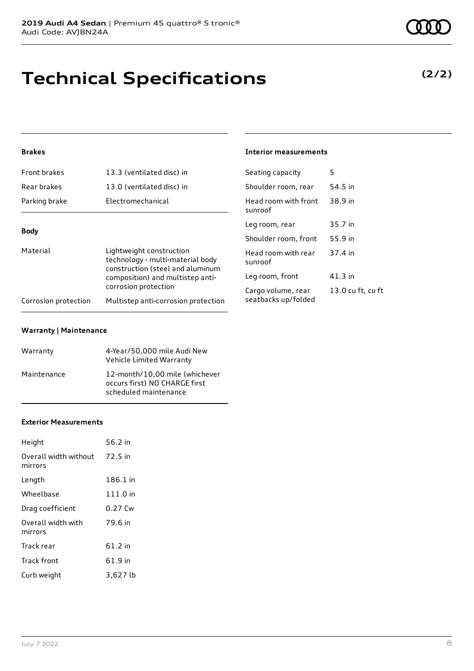# **Technical Specifications**

## **(2/2)**

### **Brakes**

| Front brakes                                                                                                                                                             | 13.3 (ventilated disc) in           | Seating capacity                | 5       |
|--------------------------------------------------------------------------------------------------------------------------------------------------------------------------|-------------------------------------|---------------------------------|---------|
| Rear brakes                                                                                                                                                              | 13.0 (ventilated disc) in           | Shoulder room, rear             | 54.5 in |
| Parking brake                                                                                                                                                            | Electromechanical                   | Head room with front<br>sunroof | 38.9 in |
|                                                                                                                                                                          |                                     | Leg room, rear                  | 35.7 in |
| <b>Body</b>                                                                                                                                                              |                                     | Shoulder room, front            | 55.9 in |
| Material<br>Lightweight construction<br>technology - multi-material body<br>construction (steel and aluminum<br>composition) and multistep anti-<br>corrosion protection |                                     | Head room with rear<br>sunroof  | 37.4 in |
|                                                                                                                                                                          |                                     | Leg room, front                 | 41.3 in |
|                                                                                                                                                                          |                                     | Cargo volume, rear              | 13.0 cu |
| Corrosion protection                                                                                                                                                     | Multistep anti-corrosion protection | seatbacks up/folded             |         |

**Interior measurements**

13.0 cu ft, cu ft

#### **Warranty | Maintenance**

| Warranty    | 4-Year/50,000 mile Audi New<br>Vehicle Limited Warranty                                  |
|-------------|------------------------------------------------------------------------------------------|
| Maintenance | 12-month/10,00 mile (whichever<br>occurs first) NO CHARGE first<br>scheduled maintenance |

#### **Exterior Measurements**

| Height                           | 56.2 in  |
|----------------------------------|----------|
| Overall width without<br>mirrors | 72.5 in  |
| Length                           | 186.1 in |
| Wheelbase                        | 111.0 in |
| Drag coefficient                 | 0.27 Cw  |
| Overall width with<br>mirrors    | 79.6 in  |
| Track rear                       | 61.2 in  |
| Track front                      | 61.9 in  |
| Curb weight                      | 3,627 lb |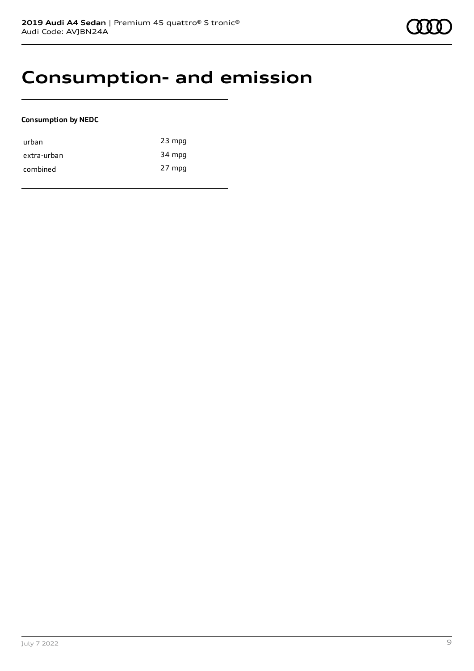## **Consumption- and emission**

### **Consumption by NEDC**

| urban       | $23$ mpg |
|-------------|----------|
| extra-urban | 34 mpg   |
| combined    | 27 mpg   |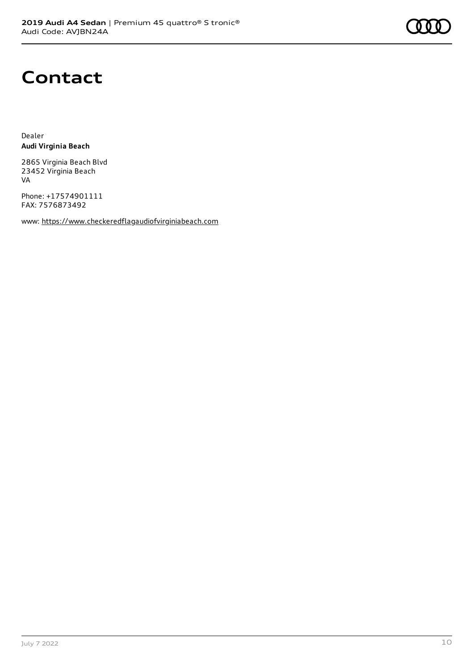

## **Contact**

Dealer **Audi Virginia Beach**

2865 Virginia Beach Blvd 23452 Virginia Beach VA

Phone: +17574901111 FAX: 7576873492

www: [https://www.checkeredflagaudiofvirginiabeach.com](https://www.checkeredflagaudiofvirginiabeach.com/)